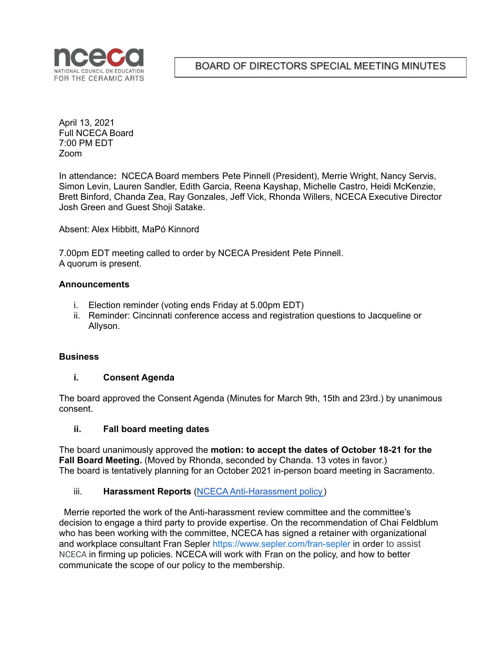

BOARD OF DIRECTORS SPECIAL MEETING MINUTES

April 13, 2021 Full NCECA Board 7:00 PM EDT Zoom

In attendance**:** NCECA Board members Pete Pinnell (President), Merrie Wright, Nancy Servis, Simon Levin, Lauren Sandler, Edith Garcia, Reena Kayshap, Michelle Castro, Heidi McKenzie, Brett Binford, Chanda Zea, Ray Gonzales, Jeff Vick, Rhonda Willers, NCECA Executive Director Josh Green and Guest Shoji Satake.

Absent: Alex Hibbitt, MaPó Kinnord

7.00pm EDT meeting called to order by NCECA President Pete Pinnell. A quorum is present.

#### **Announcements**

- i. Election reminder (voting ends Friday at 5.00pm EDT)
- ii. Reminder: Cincinnati conference access and registration questions to Jacqueline or Allyson.

#### **Business**

#### **i. Consent Agenda**

The board approved the Consent Agenda (Minutes for March 9th, 15th and 23rd.) by unanimous consent.

#### **ii. Fall board meeting dates**

The board unanimously approved the **motion: to accept the dates of October 18-21 for the Fall Board Meeting.** (Moved by Rhonda, seconded by Chanda. 13 votes in favor.) The board is tentatively planning for an October 2021 in-person board meeting in Sacramento.

### iii. **Harassment Reports** (NCECA [Anti-Harassment](https://nceca.net/wp-content/uploads/2020/09/NCECA-Anti-Harassment-Policy.pdf) policy)

Merrie reported the work of the Anti-harassment review committee and the committee's decision to engage a third party to provide expertise. On the recommendation of Chai Feldblum who has been working with the committee, NCECA has signed a retainer with organizational and workplace consultant Fran Sepler <https://www.sepler.com/fran-sepler> in order to assist NCECA in firming up policies. NCECA will work with Fran on the policy, and how to better communicate the scope of our policy to the membership.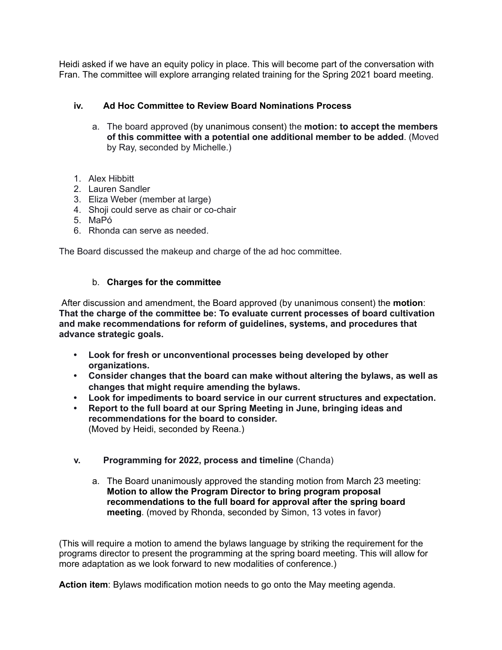Heidi asked if we have an equity policy in place. This will become part of the conversation with Fran. The committee will explore arranging related training for the Spring 2021 board meeting.

## **iv. Ad Hoc Committee to Review Board Nominations Process**

- a. The board approved (by unanimous consent) the **motion: to accept the members of this committee with a potential one additional member to be added**. (Moved by Ray, seconded by Michelle.)
- 1. Alex Hibbitt
- 2. Lauren Sandler
- 3. Eliza Weber (member at large)
- 4. Shoji could serve as chair or co-chair
- 5. MaPó
- 6. Rhonda can serve as needed.

The Board discussed the makeup and charge of the ad hoc committee.

### b. **Charges for the committee**

After discussion and amendment, the Board approved (by unanimous consent) the **motion**: **That the charge of the committee be: To evaluate current processes of board cultivation and make recommendations for reform of guidelines, systems, and procedures that advance strategic goals.**

- **• Look for fresh or unconventional processes being developed by other organizations.**
- **• Consider changes that the board can make without altering the bylaws, as well as changes that might require amending the bylaws.**
- **• Look for impediments to board service in our current structures and expectation.**
- **• Report to the full board at our Spring Meeting in June, bringing ideas and recommendations for the board to consider.** (Moved by Heidi, seconded by Reena.)

### **v. Programming for 2022, process and timeline** (Chanda)

a. The Board unanimously approved the standing motion from March 23 meeting: **Motion to allow the Program Director to bring program proposal recommendations to the full board for approval after the spring board meeting**. (moved by Rhonda, seconded by Simon, 13 votes in favor)

(This will require a motion to amend the bylaws language by striking the requirement for the programs director to present the programming at the spring board meeting. This will allow for more adaptation as we look forward to new modalities of conference.)

**Action item**: Bylaws modification motion needs to go onto the May meeting agenda.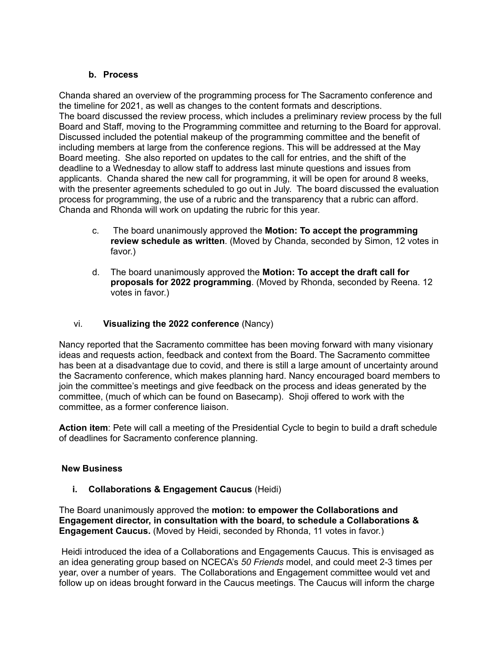# **b. Process**

Chanda shared an overview of the programming process for The Sacramento conference and the timeline for 2021, as well as changes to the content formats and descriptions. The board discussed the review process, which includes a preliminary review process by the full Board and Staff, moving to the Programming committee and returning to the Board for approval. Discussed included the potential makeup of the programming committee and the benefit of including members at large from the conference regions. This will be addressed at the May Board meeting. She also reported on updates to the call for entries, and the shift of the deadline to a Wednesday to allow staff to address last minute questions and issues from applicants. Chanda shared the new call for programming, it will be open for around 8 weeks, with the presenter agreements scheduled to go out in July. The board discussed the evaluation process for programming, the use of a rubric and the transparency that a rubric can afford. Chanda and Rhonda will work on updating the rubric for this year.

- c. The board unanimously approved the **Motion: To accept the programming review schedule as written**. (Moved by Chanda, seconded by Simon, 12 votes in favor.)
- d. The board unanimously approved the **Motion: To accept the draft call for proposals for 2022 programming**. (Moved by Rhonda, seconded by Reena. 12 votes in favor.)

# vi. **Visualizing the 2022 conference** (Nancy)

Nancy reported that the Sacramento committee has been moving forward with many visionary ideas and requests action, feedback and context from the Board. The Sacramento committee has been at a disadvantage due to covid, and there is still a large amount of uncertainty around the Sacramento conference, which makes planning hard. Nancy encouraged board members to join the committee's meetings and give feedback on the process and ideas generated by the committee, (much of which can be found on Basecamp). Shoji offered to work with the committee, as a former conference liaison.

**Action item**: Pete will call a meeting of the Presidential Cycle to begin to build a draft schedule of deadlines for Sacramento conference planning.

### **New Business**

**i. Collaborations & Engagement Caucus** (Heidi)

The Board unanimously approved the **motion: to empower the Collaborations and Engagement director, in consultation with the board, to schedule a Collaborations & Engagement Caucus.** (Moved by Heidi, seconded by Rhonda, 11 votes in favor.)

Heidi introduced the idea of a Collaborations and Engagements Caucus. This is envisaged as an idea generating group based on NCECA's *50 Friends* model, and could meet 2-3 times per year, over a number of years. The Collaborations and Engagement committee would vet and follow up on ideas brought forward in the Caucus meetings. The Caucus will inform the charge